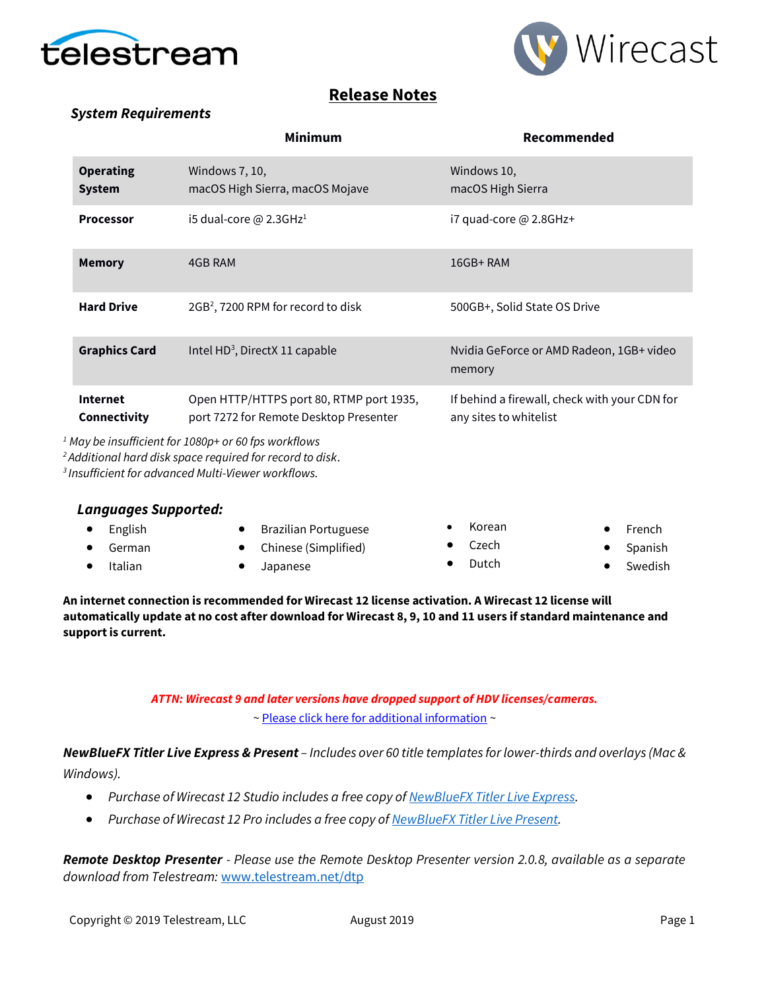



## **Release Notes**

#### *System Requirements*

|                                   | <b>Minimum</b>                                                                     | Recommended                                                             |
|-----------------------------------|------------------------------------------------------------------------------------|-------------------------------------------------------------------------|
| <b>Operating</b><br><b>System</b> | Windows 7, 10,<br>macOS High Sierra, macOS Mojave                                  | Windows 10,<br>macOS High Sierra                                        |
| <b>Processor</b>                  | i5 dual-core @ 2.3GHz <sup>1</sup>                                                 | $i7$ quad-core @ 2.8GHz+                                                |
| <b>Memory</b>                     | 4GB RAM                                                                            | $16GB+RAM$                                                              |
| <b>Hard Drive</b>                 | 2GB <sup>2</sup> , 7200 RPM for record to disk                                     | 500GB+, Solid State OS Drive                                            |
| <b>Graphics Card</b>              | Intel HD <sup>3</sup> , DirectX 11 capable                                         | Nvidia GeForce or AMD Radeon, 1GB+ video<br>memory                      |
| <b>Internet</b><br>Connectivity   | Open HTTP/HTTPS port 80, RTMP port 1935,<br>port 7272 for Remote Desktop Presenter | If behind a firewall, check with your CDN for<br>any sites to whitelist |

*<sup>1</sup> May be insufficient for 1080p+ or 60 fps workflows*

*<sup>2</sup>Additional hard disk space required for record to disk*.

*<sup>3</sup>Insufficient for advanced Multi-Viewer workflows.*

#### *Languages Supported:*

| $\bullet$ English | • Brazilian Portuguese | Korean          | • French  |
|-------------------|------------------------|-----------------|-----------|
| $\bullet$ German  | • Chinese (Simplified) | $\bullet$ Czech | • Spanish |
| Italian           | Japanese               | Dutch           | Swedish   |

**An internet connection is recommended for Wirecast 12 license activation. A Wirecast 12 license will automatically update at no cost after download for Wirecast 8, 9, 10 and 11 users if standard maintenance and support is current.**

## *ATTN: Wirecast 9 and later versions have dropped support of HDV licenses/cameras.*

[~ Please click here for additional information](http://www.telestream.net/telestream-support/wire-cast/faq.htm?kbURL=http://telestream.force.com/kb/articles/Knowledge_Article/Wirecast-HDV-Firewire-No-longer-Supported/) ~

*NewBlueFX Titler Live Express & Present – Includes over 60 title templates for lower-thirds and overlays (Mac & Windows).*

- *Purchase of Wirecast 12 Studio includes a free copy of [NewBlueFX Titler Live Express.](http://www.telestream.net/wirecast/newblue.htm)*
- *Purchase of Wirecast 12 Pro includes a free copy o[f NewBlueFX Titler Live Present.](http://www.telestream.net/wirecast/newblue.htm)*

*Remote Desktop Presenter - Please use the Remote Desktop Presenter version 2.0.8, available as a separate download from Telestream:* [www.telestream.net/dtp](http://www.telestream.net/dtp)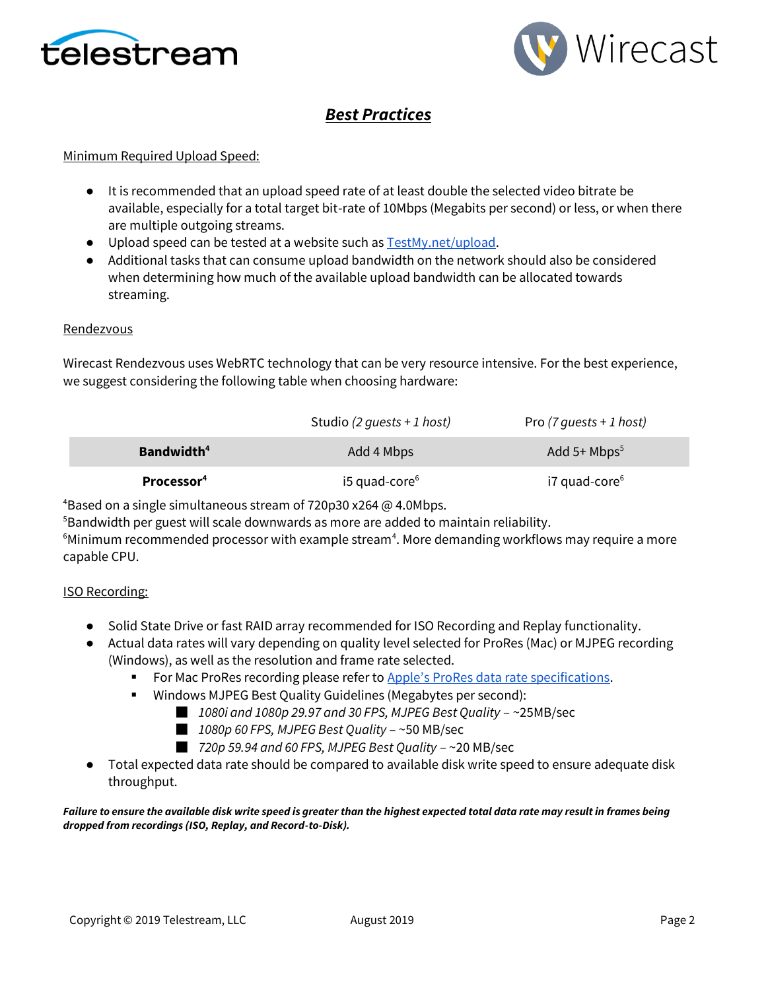



# *Best Practices*

#### Minimum Required Upload Speed:

- It is recommended that an upload speed rate of at least double the selected video bitrate be available, especially for a total target bit-rate of 10Mbps (Megabits per second) or less, or when there are multiple outgoing streams.
- Upload speed can be tested at a website such as **TestMy.net/upload**.
- Additional tasks that can consume upload bandwidth on the network should also be considered when determining how much of the available upload bandwidth can be allocated towards streaming.

#### Rendezvous

Wirecast Rendezvous uses WebRTC technology that can be very resource intensive. For the best experience, we suggest considering the following table when choosing hardware:

|                        | Studio (2 quests + 1 host)  | Pro $(7 \text{ quests + 1 host)}$ |
|------------------------|-----------------------------|-----------------------------------|
| Bandwidth <sup>4</sup> | Add 4 Mbps                  | Add 5+ $Mbps^5$                   |
| Processor <sup>4</sup> | $i5$ quad-core <sup>6</sup> | i7 quad-core <sup>6</sup>         |

<sup>4</sup>Based on a single simultaneous stream of 720p30 x264 @ 4.0Mbps.

<sup>5</sup>Bandwidth per guest will scale downwards as more are added to maintain reliability.

 $6$ Minimum recommended processor with example stream $4$ . More demanding workflows may require a more capable CPU.

#### ISO Recording:

- Solid State Drive or fast RAID array recommended for ISO Recording and Replay functionality.
- Actual data rates will vary depending on quality level selected for ProRes (Mac) or MJPEG recording (Windows), as well as the resolution and frame rate selected.
	- For Mac ProRes recording please refer to [Apple's ProRes data rate specifications](https://documentation.apple.com/en/finalcutpro/professionalformatsandworkflows/index.html).
	- Windows MJPEG Best Quality Guidelines (Megabytes per second):
		- *1080i and 1080p 29.97 and 30 FPS, MJPEG Best Quality* ~25MB/sec
		- *1080p 60 FPS, MJPEG Best Quality* ~50 MB/sec
		- *720p 59.94 and 60 FPS, MJPEG Best Quality* ~20 MB/sec
- Total expected data rate should be compared to available disk write speed to ensure adequate disk throughput.

#### *Failure to ensure the available disk write speed is greater than the highest expected total data rate may result in frames being dropped from recordings (ISO, Replay, and Record-to-Disk).*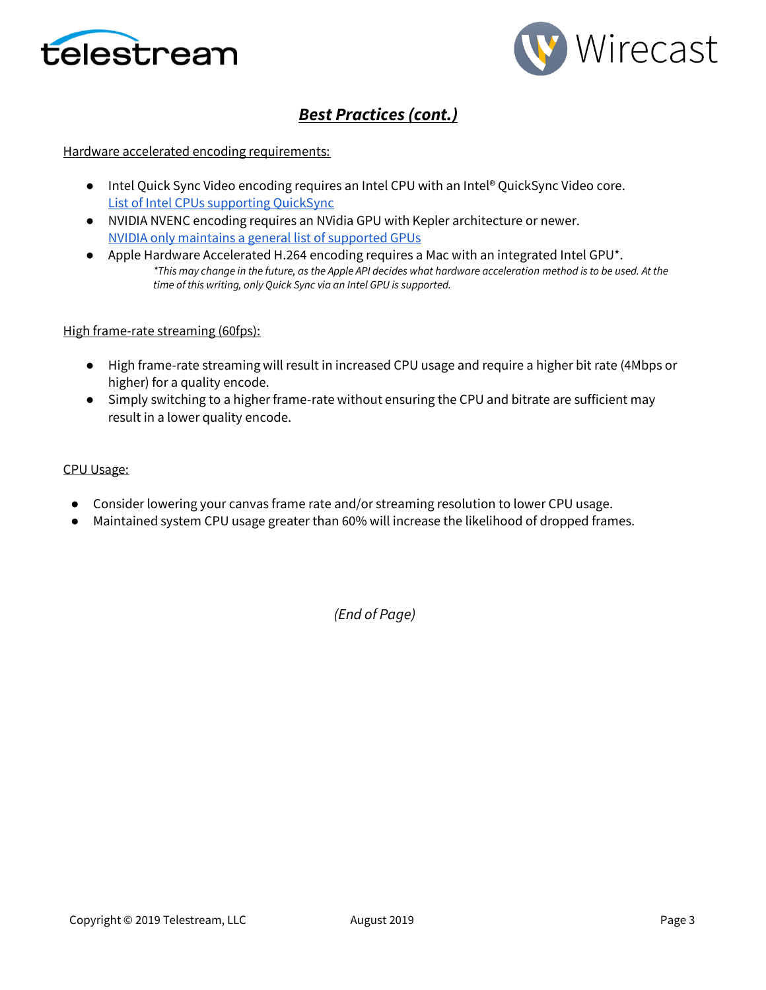



# *Best Practices (cont.)*

#### Hardware accelerated encoding requirements:

- Intel Quick Sync Video encoding requires an Intel CPU with an Intel® QuickSync Video core[.](http://ark.intel.com/search/advanced?QuickSyncVideo=true&MarketSegment=DT) [List of Intel CPUs supporting QuickSync](http://ark.intel.com/search/advanced?QuickSyncVideo=true&MarketSegment=DT)
- NVIDIA NVENC encoding requires an NVidia GPU with Kepler architecture or newer[.](https://developer.nvidia.com/nvidia-video-codec-sdk) [NVIDIA only maintains a general list of supported GPUs](https://developer.nvidia.com/nvidia-video-codec-sdk)
- Apple Hardware Accelerated H.264 encoding requires a Mac with an integrated Intel GPU<sup>\*</sup>. *\*This may change in the future, as the Apple API decides what hardware acceleration method is to be used. At the time of this writing, only Quick Sync via an Intel GPU is supported.*

#### High frame-rate streaming (60fps):

- High frame-rate streaming will result in increased CPU usage and require a higher bit rate (4Mbps or higher) for a quality encode.
- Simply switching to a higher frame-rate without ensuring the CPU and bitrate are sufficient may result in a lower quality encode.

#### CPU Usage:

- Consider lowering your canvas frame rate and/or streaming resolution to lower CPU usage.
- Maintained system CPU usage greater than 60% will increase the likelihood of dropped frames.

*(End of Page)*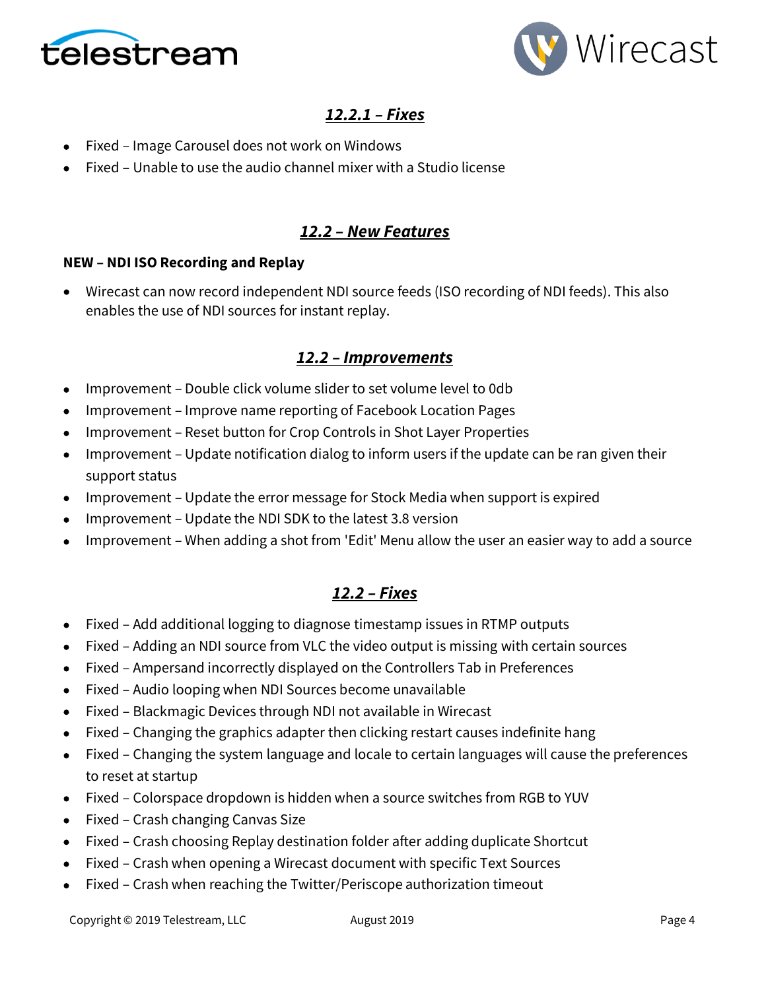



# *12.2.1 – Fixes*

- Fixed Image Carousel does not work on Windows
- Fixed Unable to use the audio channel mixer with a Studio license

## *12.2 – New Features*

#### **NEW – NDI ISO Recording and Replay**

• Wirecast can now record independent NDI source feeds (ISO recording of NDI feeds). This also enables the use of NDI sources for instant replay.

### *12.2 – Improvements*

- Improvement Double click volume slider to set volume level to 0db
- Improvement Improve name reporting of Facebook Location Pages
- Improvement Reset button for Crop Controls in Shot Layer Properties
- Improvement Update notification dialog to inform users if the update can be ran given their support status
- Improvement Update the error message for Stock Media when support is expired
- Improvement Update the NDI SDK to the latest 3.8 version
- Improvement When adding a shot from 'Edit' Menu allow the user an easier way to add a source

## *12.2 – Fixes*

- Fixed Add additional logging to diagnose timestamp issues in RTMP outputs
- Fixed Adding an NDI source from VLC the video output is missing with certain sources
- Fixed Ampersand incorrectly displayed on the Controllers Tab in Preferences
- Fixed Audio looping when NDI Sources become unavailable
- Fixed Blackmagic Devices through NDI not available in Wirecast
- Fixed Changing the graphics adapter then clicking restart causes indefinite hang
- Fixed Changing the system language and locale to certain languages will cause the preferences to reset at startup
- Fixed Colorspace dropdown is hidden when a source switches from RGB to YUV
- Fixed Crash changing Canvas Size
- Fixed Crash choosing Replay destination folder after adding duplicate Shortcut
- Fixed Crash when opening a Wirecast document with specific Text Sources
- Fixed Crash when reaching the Twitter/Periscope authorization timeout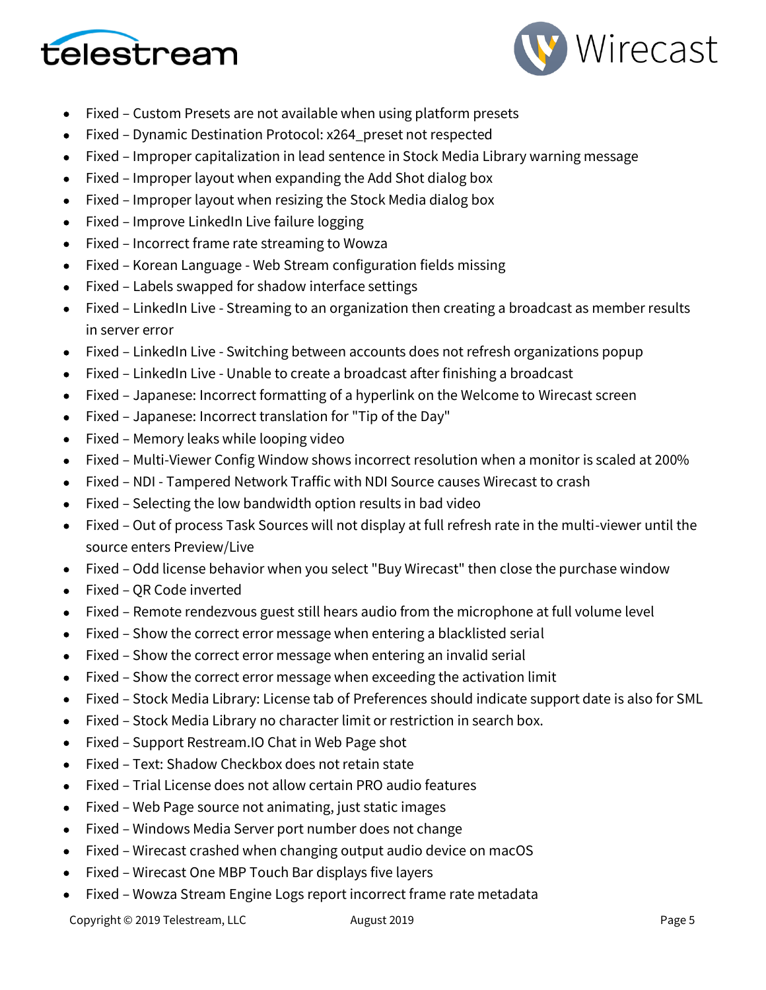



- Fixed Custom Presets are not available when using platform presets
- Fixed Dynamic Destination Protocol: x264\_preset not respected
- Fixed Improper capitalization in lead sentence in Stock Media Library warning message
- Fixed Improper layout when expanding the Add Shot dialog box
- Fixed Improper layout when resizing the Stock Media dialog box
- Fixed Improve LinkedIn Live failure logging
- Fixed Incorrect frame rate streaming to Wowza
- Fixed Korean Language Web Stream configuration fields missing
- Fixed Labels swapped for shadow interface settings
- Fixed LinkedIn Live Streaming to an organization then creating a broadcast as member results in server error
- Fixed LinkedIn Live Switching between accounts does not refresh organizations popup
- Fixed LinkedIn Live Unable to create a broadcast after finishing a broadcast
- Fixed Japanese: Incorrect formatting of a hyperlink on the Welcome to Wirecast screen
- Fixed Japanese: Incorrect translation for "Tip of the Day"
- Fixed Memory leaks while looping video
- Fixed Multi-Viewer Config Window shows incorrect resolution when a monitor is scaled at 200%
- Fixed NDI Tampered Network Traffic with NDI Source causes Wirecast to crash
- Fixed Selecting the low bandwidth option results in bad video
- Fixed Out of process Task Sources will not display at full refresh rate in the multi-viewer until the source enters Preview/Live
- Fixed Odd license behavior when you select "Buy Wirecast" then close the purchase window
- Fixed QR Code inverted
- Fixed Remote rendezvous guest still hears audio from the microphone at full volume level
- Fixed Show the correct error message when entering a blacklisted serial
- Fixed Show the correct error message when entering an invalid serial
- Fixed Show the correct error message when exceeding the activation limit
- Fixed Stock Media Library: License tab of Preferences should indicate support date is also for SML
- Fixed Stock Media Library no character limit or restriction in search box.
- Fixed Support Restream.IO Chat in Web Page shot
- Fixed Text: Shadow Checkbox does not retain state
- Fixed Trial License does not allow certain PRO audio features
- Fixed Web Page source not animating, just static images
- Fixed Windows Media Server port number does not change
- Fixed Wirecast crashed when changing output audio device on macOS
- Fixed Wirecast One MBP Touch Bar displays five layers
- Fixed Wowza Stream Engine Logs report incorrect frame rate metadata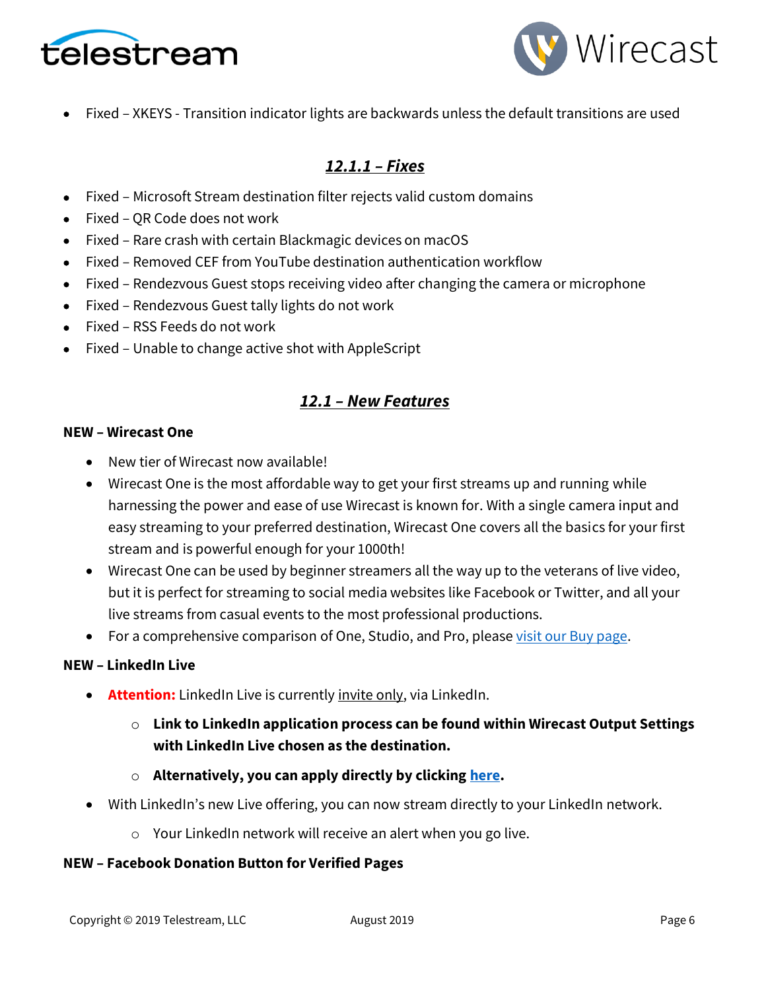



• Fixed – XKEYS - Transition indicator lights are backwards unless the default transitions are used

# *12.1.1 – Fixes*

- Fixed Microsoft Stream destination filter rejects valid custom domains
- Fixed QR Code does not work
- Fixed Rare crash with certain Blackmagic devices on macOS
- Fixed Removed CEF from YouTube destination authentication workflow
- Fixed Rendezvous Guest stops receiving video after changing the camera or microphone
- Fixed Rendezvous Guest tally lights do not work
- Fixed RSS Feeds do not work
- Fixed Unable to change active shot with AppleScript

## *12.1 – New Features*

#### **NEW – Wirecast One**

- New tier of Wirecast now available!
- Wirecast One is the most affordable way to get your first streams up and running while harnessing the power and ease of use Wirecast is known for. With a single camera input and easy streaming to your preferred destination, Wirecast One covers all the basics for your first stream and is powerful enough for your 1000th!
- Wirecast One can be used by beginner streamers all the way up to the veterans of live video, but it is perfect for streaming to social media websites like Facebook or Twitter, and all your live streams from casual events to the most professional productions.
- For a comprehensive comparison of One, Studio, and Pro, pleas[e visit our Buy page.](https://www.telestream.net/wirecast/store.asp)

### **NEW – LinkedIn Live**

- **Attention:** LinkedIn Live is currently invite only, via LinkedIn.
	- o **Link to LinkedIn application process can be found within Wirecast Output Settings with LinkedIn Live chosen as the destination.**
	- o **Alternatively, you can apply directly by clicking [here.](https://www.linkedin.com/help/linkedin/answer/100224/applying-for-live-video-broadcasting)**
- With LinkedIn's new Live offering, you can now stream directly to your LinkedIn network.
	- o Your LinkedIn network will receive an alert when you go live.

### **NEW – Facebook Donation Button for Verified Pages**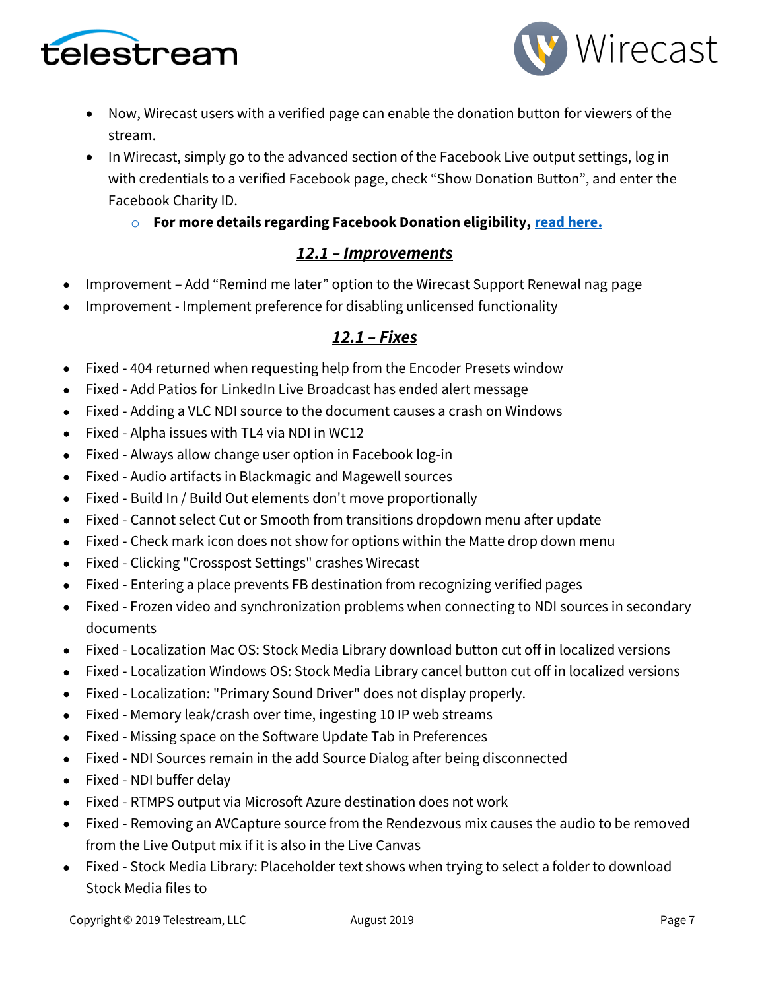



- Now, Wirecast users with a verified page can enable the donation button for viewers of the stream.
- In Wirecast, simply go to the advanced section of the Facebook Live output settings, log in with credentials to a verified Facebook page, check "Show Donation Button", and enter the Facebook Charity ID.

## o **For more details regarding Facebook Donation eligibility, [read here.](https://www.facebook.com/facebookmedia/blog/fundraising-with-facebook-live)**

## *12.1 – Improvements*

- Improvement Add "Remind me later" option to the Wirecast Support Renewal nag page
- Improvement Implement preference for disabling unlicensed functionality

# *12.1 – Fixes*

- Fixed 404 returned when requesting help from the Encoder Presets window
- Fixed Add Patios for LinkedIn Live Broadcast has ended alert message
- Fixed Adding a VLC NDI source to the document causes a crash on Windows
- Fixed Alpha issues with TL4 via NDI in WC12
- Fixed Always allow change user option in Facebook log-in
- Fixed Audio artifacts in Blackmagic and Magewell sources
- Fixed Build In / Build Out elements don't move proportionally
- Fixed Cannot select Cut or Smooth from transitions dropdown menu after update
- Fixed Check mark icon does not show for options within the Matte drop down menu
- Fixed Clicking "Crosspost Settings" crashes Wirecast
- Fixed Entering a place prevents FB destination from recognizing verified pages
- Fixed Frozen video and synchronization problems when connecting to NDI sources in secondary documents
- Fixed Localization Mac OS: Stock Media Library download button cut off in localized versions
- Fixed Localization Windows OS: Stock Media Library cancel button cut off in localized versions
- Fixed Localization: "Primary Sound Driver" does not display properly.
- Fixed Memory leak/crash over time, ingesting 10 IP web streams
- Fixed Missing space on the Software Update Tab in Preferences
- Fixed NDI Sources remain in the add Source Dialog after being disconnected
- Fixed NDI buffer delay
- Fixed RTMPS output via Microsoft Azure destination does not work
- Fixed Removing an AVCapture source from the Rendezvous mix causes the audio to be removed from the Live Output mix if it is also in the Live Canvas
- Fixed Stock Media Library: Placeholder text shows when trying to select a folder to download Stock Media files to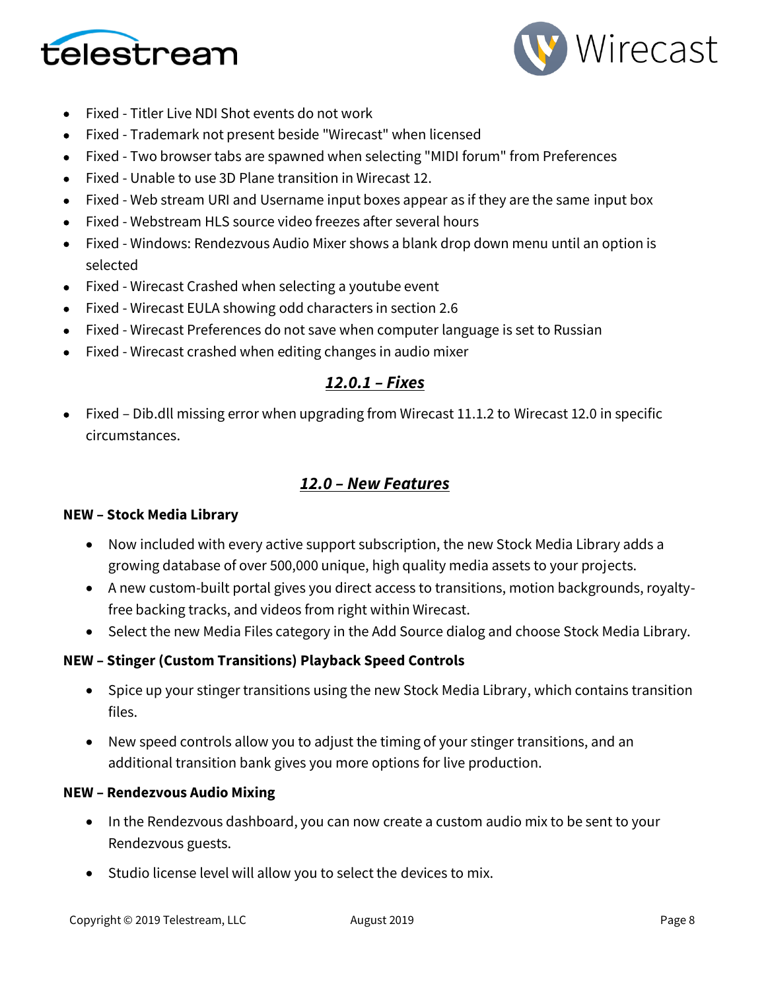



- Fixed Titler Live NDI Shot events do not work
- Fixed Trademark not present beside "Wirecast" when licensed
- Fixed Two browser tabs are spawned when selecting "MIDI forum" from Preferences
- Fixed Unable to use 3D Plane transition in Wirecast 12.
- Fixed Web stream URI and Username input boxes appear as if they are the same input box
- Fixed Webstream HLS source video freezes after several hours
- Fixed Windows: Rendezvous Audio Mixer shows a blank drop down menu until an option is selected
- Fixed Wirecast Crashed when selecting a youtube event
- Fixed Wirecast EULA showing odd characters in section 2.6
- Fixed Wirecast Preferences do not save when computer language is set to Russian
- Fixed Wirecast crashed when editing changes in audio mixer

## *12.0.1 – Fixes*

• Fixed – Dib.dll missing error when upgrading from Wirecast 11.1.2 to Wirecast 12.0 in specific circumstances.

## *12.0 – New Features*

#### **NEW – Stock Media Library**

- Now included with every active support subscription, the new Stock Media Library adds a growing database of over 500,000 unique, high quality media assets to your projects.
- A new custom-built portal gives you direct access to transitions, motion backgrounds, royaltyfree backing tracks, and videos from right within Wirecast.
- Select the new Media Files category in the Add Source dialog and choose Stock Media Library.

### **NEW – Stinger (Custom Transitions) Playback Speed Controls**

- Spice up your stinger transitions using the new Stock Media Library, which contains transition files.
- New speed controls allow you to adjust the timing of your stinger transitions, and an additional transition bank gives you more options for live production.

### **NEW – Rendezvous Audio Mixing**

- In the Rendezvous dashboard, you can now create a custom audio mix to be sent to your Rendezvous guests.
- Studio license level will allow you to select the devices to mix.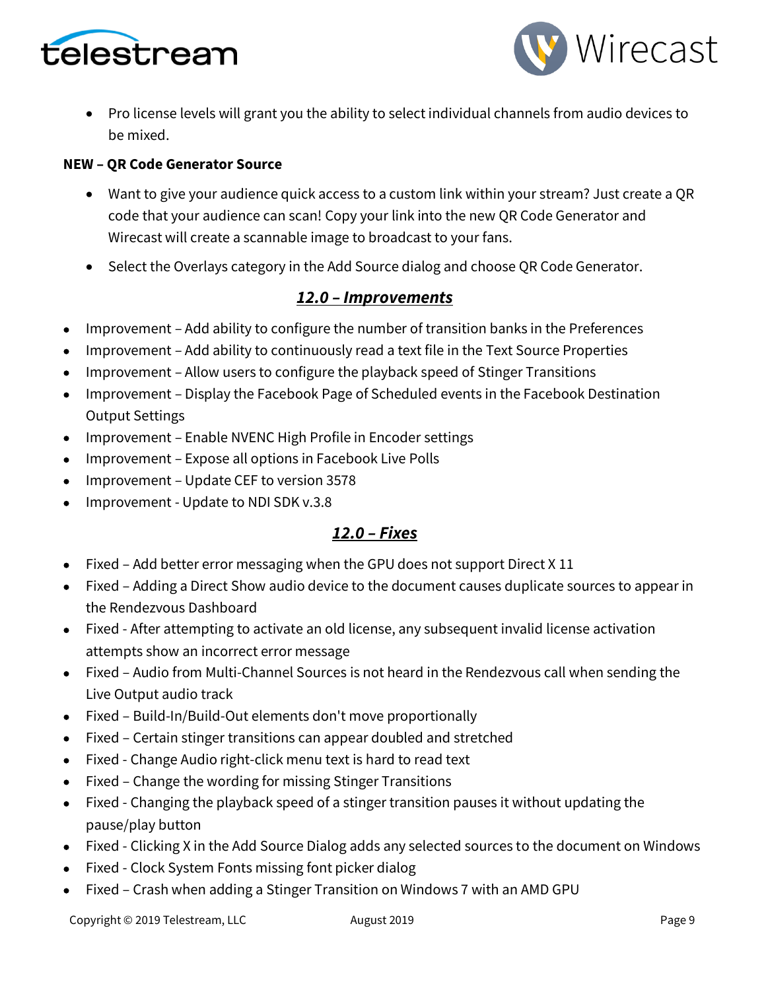



• Pro license levels will grant you the ability to select individual channels from audio devices to be mixed.

#### **NEW – QR Code Generator Source**

- Want to give your audience quick access to a custom link within your stream? Just create a QR code that your audience can scan! Copy your link into the new QR Code Generator and Wirecast will create a scannable image to broadcast to your fans.
- Select the Overlays category in the Add Source dialog and choose QR Code Generator.

### *12.0 – Improvements*

- Improvement Add ability to configure the number of transition banks in the Preferences
- Improvement Add ability to continuously read a text file in the Text Source Properties
- Improvement Allow users to configure the playback speed of Stinger Transitions
- Improvement Display the Facebook Page of Scheduled events in the Facebook Destination Output Settings
- Improvement Enable NVENC High Profile in Encoder settings
- Improvement Expose all options in Facebook Live Polls
- Improvement Update CEF to version 3578
- Improvement Update to NDI SDK v.3.8

### *12.0 – Fixes*

- Fixed Add better error messaging when the GPU does not support Direct X 11
- Fixed Adding a Direct Show audio device to the document causes duplicate sources to appear in the Rendezvous Dashboard
- Fixed After attempting to activate an old license, any subsequent invalid license activation attempts show an incorrect error message
- Fixed Audio from Multi-Channel Sources is not heard in the Rendezvous call when sending the Live Output audio track
- Fixed Build-In/Build-Out elements don't move proportionally
- Fixed Certain stinger transitions can appear doubled and stretched
- Fixed Change Audio right-click menu text is hard to read text
- Fixed Change the wording for missing Stinger Transitions
- Fixed Changing the playback speed of a stinger transition pauses it without updating the pause/play button
- Fixed Clicking X in the Add Source Dialog adds any selected sources to the document on Windows
- Fixed Clock System Fonts missing font picker dialog
- Fixed Crash when adding a Stinger Transition on Windows 7 with an AMD GPU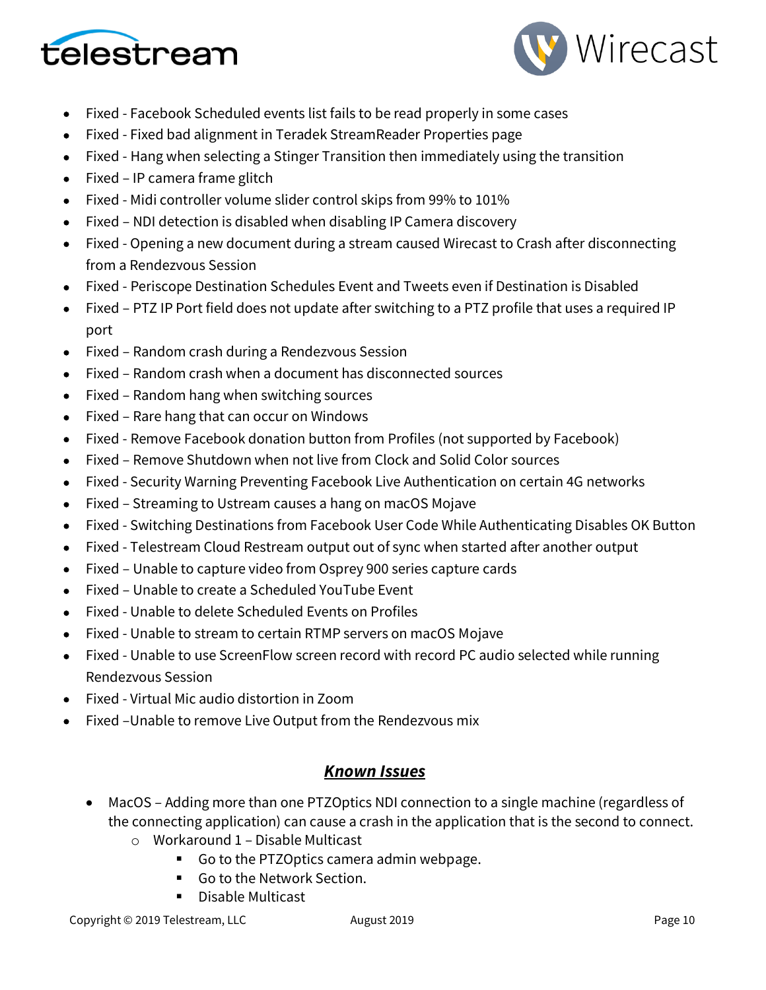



- Fixed Facebook Scheduled events list fails to be read properly in some cases
- Fixed Fixed bad alignment in Teradek StreamReader Properties page
- Fixed Hang when selecting a Stinger Transition then immediately using the transition
- Fixed IP camera frame glitch
- Fixed Midi controller volume slider control skips from 99% to 101%
- Fixed NDI detection is disabled when disabling IP Camera discovery
- Fixed Opening a new document during a stream caused Wirecast to Crash after disconnecting from a Rendezvous Session
- Fixed Periscope Destination Schedules Event and Tweets even if Destination is Disabled
- Fixed PTZ IP Port field does not update after switching to a PTZ profile that uses a required IP port
- Fixed Random crash during a Rendezvous Session
- Fixed Random crash when a document has disconnected sources
- Fixed Random hang when switching sources
- Fixed Rare hang that can occur on Windows
- Fixed Remove Facebook donation button from Profiles (not supported by Facebook)
- Fixed Remove Shutdown when not live from Clock and Solid Color sources
- Fixed Security Warning Preventing Facebook Live Authentication on certain 4G networks
- Fixed Streaming to Ustream causes a hang on macOS Mojave
- Fixed Switching Destinations from Facebook User Code While Authenticating Disables OK Button
- Fixed Telestream Cloud Restream output out of sync when started after another output
- Fixed Unable to capture video from Osprey 900 series capture cards
- Fixed Unable to create a Scheduled YouTube Event
- Fixed Unable to delete Scheduled Events on Profiles
- Fixed Unable to stream to certain RTMP servers on macOS Mojave
- Fixed Unable to use ScreenFlow screen record with record PC audio selected while running Rendezvous Session
- Fixed Virtual Mic audio distortion in Zoom
- Fixed –Unable to remove Live Output from the Rendezvous mix

### *Known Issues*

- MacOS Adding more than one PTZOptics NDI connection to a single machine (regardless of the connecting application) can cause a crash in the application that is the second to connect.
	- o Workaround 1 Disable Multicast
		- Go to the PTZOptics camera admin webpage.
		- Go to the Network Section.
		- Disable Multicast